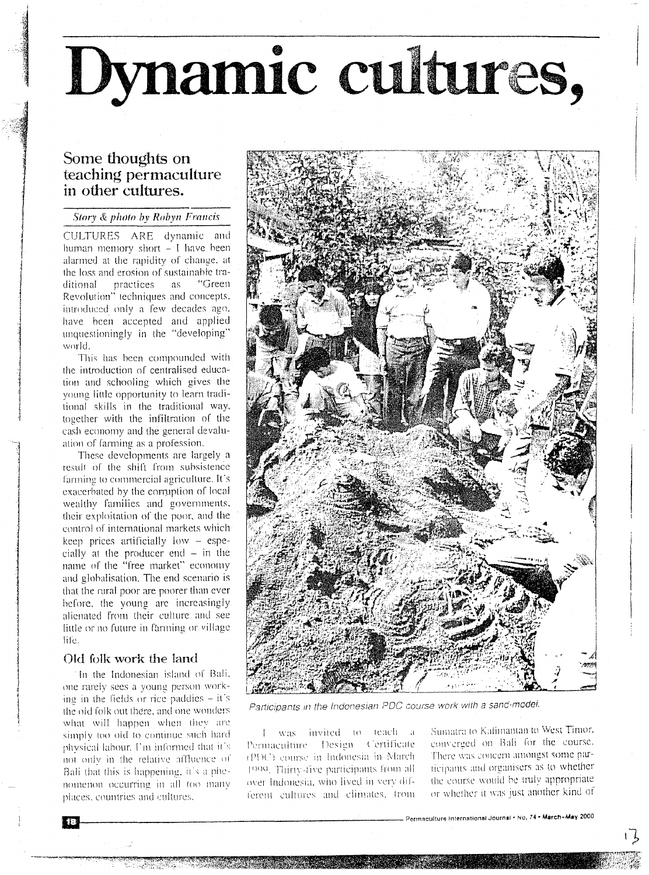# Dynamic cultures,

# Some thoughts on teaching permaculture in other cultures.

### Story & photo by Robyn Francis

CULTURES ARE dynamic and human memory short  $-1$  have been alarmed at the rapidity of change, at the loss and erosion of sustainable trapractices **as** "Green ditional Revolution" techniques and concepts. introduced only a few decades ago, have been accepted and applied unquestioningly in the "developing" world.

This has been compounded with the introduction of centralised education and schooling which gives the young little opportunity to learn traditional skills in the traditional way, together with the infiltration of the cash economy and the general devaluation of farming as a profession.

These developments are largely a result of the shift from subsistence farming to commercial agriculture. It's exacerbated by the corruption of local wealthy families and governments, their exploitation of the poor, and the control of international markets which keep prices artificially low - especially at the producer end - in the name of the "free market" economy and globalisation. The end scenario is that the rural poor are poorer than ever before, the young are increasingly alienated from their culture and see little or no future in farming or village life.

## Old folk work the land

In the Indonesian island of Bali. one rarely sees a young person working in the fields or rice paddies  $-$  it's the old folk out there, and one wonders what will happen when they are simply too old to continue such hard physical labour. I'm informed that it's not only in the relative affluence of Bali that this is happening, it's a phenomenon occurring in all too many places, countries and cultures.



Participants in the Indonesian PDC course work with a sand-model.

1 was invited to teach a Permaculture Design Certificate (PDC) course in Indonesia in March 1999. Thirty-five participants from all over Indonesia, who lived in very different cultures and climates, from

Sumatra to Kalimantan to West Timor, converged on Bali for the course. There was concern amongst some participants and organisers as to whether the course would be truly appropriate or whether it was just another kind of